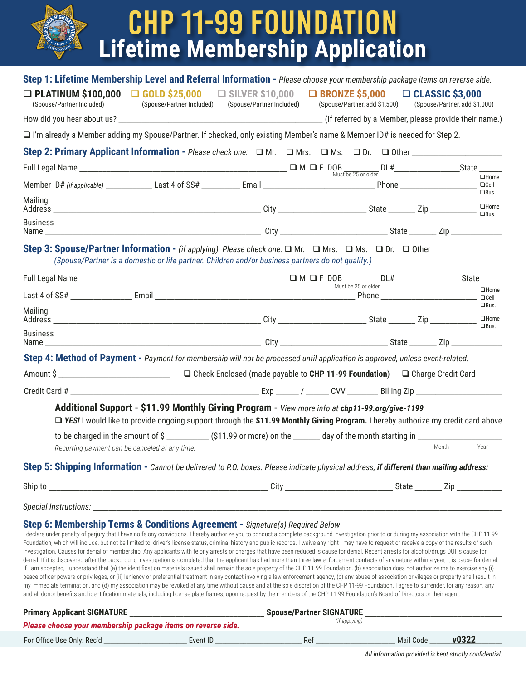| <b>Lifetime Membership Application</b><br>$o_{U_{\text{NDAT}}10}$                                                                                                                                                                                                                                                                                                                                                                                                                                                                                                                                                                                                                                                                                                                                                                                                                                                                                                                                                                                                                                                                                                                                                                                                                                                                                                                                                                                                                                                                                                                                                                                                                                   | <b>CHP 11-99 FOUNDATION</b>                                                                                     |  |       |                                           |
|-----------------------------------------------------------------------------------------------------------------------------------------------------------------------------------------------------------------------------------------------------------------------------------------------------------------------------------------------------------------------------------------------------------------------------------------------------------------------------------------------------------------------------------------------------------------------------------------------------------------------------------------------------------------------------------------------------------------------------------------------------------------------------------------------------------------------------------------------------------------------------------------------------------------------------------------------------------------------------------------------------------------------------------------------------------------------------------------------------------------------------------------------------------------------------------------------------------------------------------------------------------------------------------------------------------------------------------------------------------------------------------------------------------------------------------------------------------------------------------------------------------------------------------------------------------------------------------------------------------------------------------------------------------------------------------------------------|-----------------------------------------------------------------------------------------------------------------|--|-------|-------------------------------------------|
| Step 1: Lifetime Membership Level and Referral Information - Please choose your membership package items on reverse side.<br>$\Box$ PLATINUM \$100,000 $\Box$ GOLD \$25,000 $\Box$ SILVER \$10,000 $\Box$ BRONZE \$5,000 $\Box$ CLASSIC \$3,000<br>(Spouse/Partner Included)<br>$\Box$ I'm already a Member adding my Spouse/Partner. If checked, only existing Member's name & Member ID# is needed for Step 2.                                                                                                                                                                                                                                                                                                                                                                                                                                                                                                                                                                                                                                                                                                                                                                                                                                                                                                                                                                                                                                                                                                                                                                                                                                                                                    | (Spouse/Partner Included) (Spouse/Partner Included) (Spouse/Partner, add \$1,500) (Spouse/Partner, add \$1,000) |  |       |                                           |
|                                                                                                                                                                                                                                                                                                                                                                                                                                                                                                                                                                                                                                                                                                                                                                                                                                                                                                                                                                                                                                                                                                                                                                                                                                                                                                                                                                                                                                                                                                                                                                                                                                                                                                     |                                                                                                                 |  |       |                                           |
| Mailing                                                                                                                                                                                                                                                                                                                                                                                                                                                                                                                                                                                                                                                                                                                                                                                                                                                                                                                                                                                                                                                                                                                                                                                                                                                                                                                                                                                                                                                                                                                                                                                                                                                                                             |                                                                                                                 |  |       | $\Box$ Cell<br>$\Box$ Bus.<br>$\Box$ Home |
| <b>Business</b>                                                                                                                                                                                                                                                                                                                                                                                                                                                                                                                                                                                                                                                                                                                                                                                                                                                                                                                                                                                                                                                                                                                                                                                                                                                                                                                                                                                                                                                                                                                                                                                                                                                                                     |                                                                                                                 |  |       |                                           |
| (Spouse/Partner is a domestic or life partner. Children and/or business partners do not qualify.)                                                                                                                                                                                                                                                                                                                                                                                                                                                                                                                                                                                                                                                                                                                                                                                                                                                                                                                                                                                                                                                                                                                                                                                                                                                                                                                                                                                                                                                                                                                                                                                                   |                                                                                                                 |  |       |                                           |
|                                                                                                                                                                                                                                                                                                                                                                                                                                                                                                                                                                                                                                                                                                                                                                                                                                                                                                                                                                                                                                                                                                                                                                                                                                                                                                                                                                                                                                                                                                                                                                                                                                                                                                     |                                                                                                                 |  |       |                                           |
|                                                                                                                                                                                                                                                                                                                                                                                                                                                                                                                                                                                                                                                                                                                                                                                                                                                                                                                                                                                                                                                                                                                                                                                                                                                                                                                                                                                                                                                                                                                                                                                                                                                                                                     |                                                                                                                 |  |       | $\Box$ Home                               |
| Mailing                                                                                                                                                                                                                                                                                                                                                                                                                                                                                                                                                                                                                                                                                                                                                                                                                                                                                                                                                                                                                                                                                                                                                                                                                                                                                                                                                                                                                                                                                                                                                                                                                                                                                             |                                                                                                                 |  |       | $\Box$ Bus.<br>$\Box$ Home                |
| <b>Business</b>                                                                                                                                                                                                                                                                                                                                                                                                                                                                                                                                                                                                                                                                                                                                                                                                                                                                                                                                                                                                                                                                                                                                                                                                                                                                                                                                                                                                                                                                                                                                                                                                                                                                                     |                                                                                                                 |  |       | $\Box$ Bus.                               |
| <b>Step 4: Method of Payment</b> - Payment for membership will not be processed until application is approved, unless event-related.                                                                                                                                                                                                                                                                                                                                                                                                                                                                                                                                                                                                                                                                                                                                                                                                                                                                                                                                                                                                                                                                                                                                                                                                                                                                                                                                                                                                                                                                                                                                                                |                                                                                                                 |  |       |                                           |
|                                                                                                                                                                                                                                                                                                                                                                                                                                                                                                                                                                                                                                                                                                                                                                                                                                                                                                                                                                                                                                                                                                                                                                                                                                                                                                                                                                                                                                                                                                                                                                                                                                                                                                     | $\Box$ Check Enclosed (made payable to CHP 11-99 Foundation) $\Box$ Charge Credit Card                          |  |       |                                           |
| Credit Card #                                                                                                                                                                                                                                                                                                                                                                                                                                                                                                                                                                                                                                                                                                                                                                                                                                                                                                                                                                                                                                                                                                                                                                                                                                                                                                                                                                                                                                                                                                                                                                                                                                                                                       |                                                                                                                 |  |       |                                           |
| Additional Support - \$11.99 Monthly Giving Program - View more info at chp11-99.org/give-1199<br>□ YES! I would like to provide ongoing support through the \$11.99 Monthly Giving Program. I hereby authorize my credit card above<br>to be charged in the amount of \$ _____________ (\$11.99 or more) on the _______ day of the month starting in _______________<br>Recurring payment can be canceled at any time.                                                                                                                                                                                                                                                                                                                                                                                                                                                                                                                                                                                                                                                                                                                                                                                                                                                                                                                                                                                                                                                                                                                                                                                                                                                                             |                                                                                                                 |  | Month | Year                                      |
| Step 5: Shipping Information - Cannot be delivered to P.O. boxes. Please indicate physical address, if different than mailing address:                                                                                                                                                                                                                                                                                                                                                                                                                                                                                                                                                                                                                                                                                                                                                                                                                                                                                                                                                                                                                                                                                                                                                                                                                                                                                                                                                                                                                                                                                                                                                              |                                                                                                                 |  |       |                                           |
|                                                                                                                                                                                                                                                                                                                                                                                                                                                                                                                                                                                                                                                                                                                                                                                                                                                                                                                                                                                                                                                                                                                                                                                                                                                                                                                                                                                                                                                                                                                                                                                                                                                                                                     |                                                                                                                 |  |       |                                           |
|                                                                                                                                                                                                                                                                                                                                                                                                                                                                                                                                                                                                                                                                                                                                                                                                                                                                                                                                                                                                                                                                                                                                                                                                                                                                                                                                                                                                                                                                                                                                                                                                                                                                                                     |                                                                                                                 |  |       |                                           |
| Step 6: Membership Terms & Conditions Agreement - Signature(s) Required Below<br>I declare under penalty of perjury that I have no felony convictions. I hereby authorize you to conduct a complete background investigation prior to or during my association with the CHP 11-99<br>Foundation, which will include, but not be limited to, driver's license status, criminal history and public records. I waive any right I may have to request or receive a copy of the results of such<br>investigation. Causes for denial of membership: Any applicants with felony arrests or charges that have been reduced is cause for denial. Recent arrests for alcohol/drugs DUI is cause for<br>denial. If it is discovered after the background investigation is completed that the applicant has had more than three law enforcement contacts of any nature within a year, it is cause for denial.<br>If I am accepted, I understand that (a) the identification materials issued shall remain the sole property of the CHP 11-99 Foundation, (b) association does not authorize me to exercise any (i)<br>peace officer powers or privileges, or (ii) leniency or preferential treatment in any contact involving a law enforcement agency, (c) any abuse of association privileges or property shall result in<br>my immediate termination, and (d) my association may be revoked at any time without cause and at the sole discretion of the CHP 11-99 Foundation. I agree to surrender, for any reason, any<br>and all donor benefits and identification materials, including license plate frames, upon request by the members of the CHP 11-99 Foundation's Board of Directors or their agent. |                                                                                                                 |  |       |                                           |

| <b>Primary Applicant SIGNATURE</b>                           |          | <b>Spouse/Partner SIGNATURE</b> |           |       |
|--------------------------------------------------------------|----------|---------------------------------|-----------|-------|
| Please choose your membership package items on reverse side. |          | (if applying)                   |           |       |
| For Office Use Only: Rec'd                                   | Event ID | <b>Re</b>                       | Mail Code | v0322 |